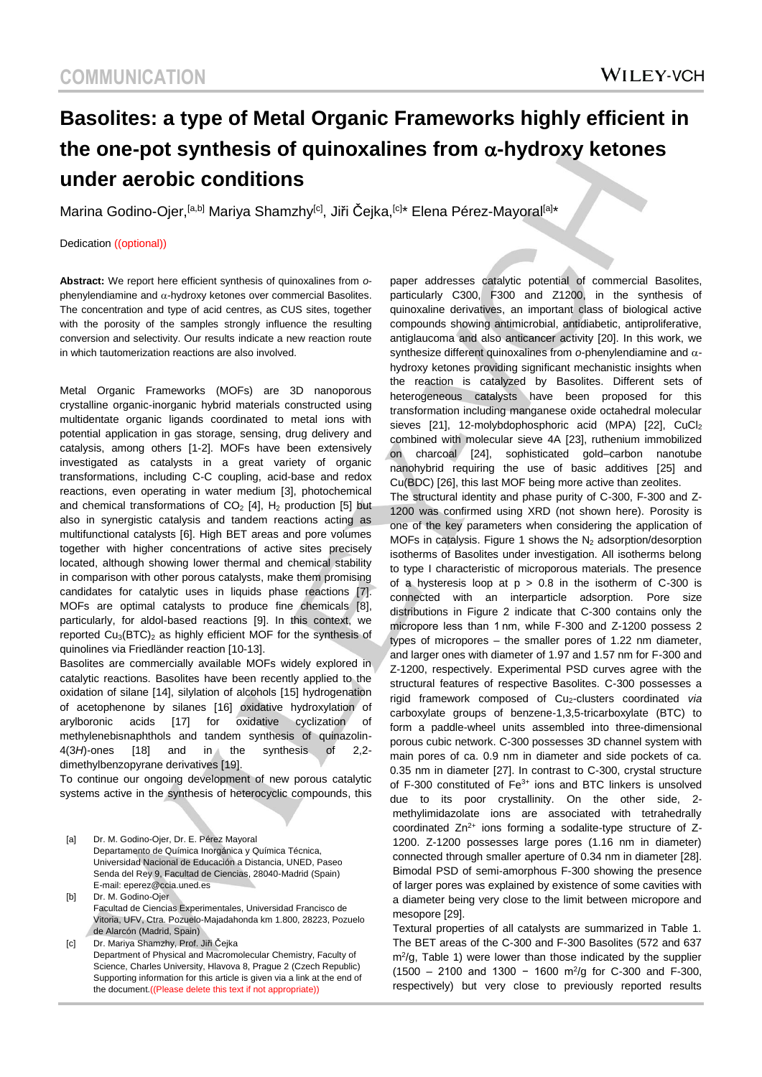# **Basolites: a type of Metal Organic Frameworks highly efficient in the one-pot synthesis of quinoxalines from -hydroxy ketones under aerobic conditions**

Marina Godino-Ojer,<sup>[a,b]</sup> Mariya Shamzhy<sup>[c]</sup>, Jiři Čejka,<sup>[c]\*</sup> Elena Pérez-Mayoral<sup>[a]\*</sup>

Dedication ((optional))

**Abstract:** We report here efficient synthesis of quinoxalines from *o*phenylendiamine and  $\alpha$ -hydroxy ketones over commercial Basolites. The concentration and type of acid centres, as CUS sites, together with the porosity of the samples strongly influence the resulting conversion and selectivity. Our results indicate a new reaction route in which tautomerization reactions are also involved.

Metal Organic Frameworks (MOFs) are 3D nanoporous crystalline organic-inorganic hybrid materials constructed using multidentate organic ligands coordinated to metal ions with potential application in gas storage, sensing, drug delivery and catalysis, among others [1-2]. MOFs have been extensively investigated as catalysts in a great variety of organic transformations, including C-C coupling, acid-base and redox reactions, even operating in water medium [3], photochemical and chemical transformations of  $CO<sub>2</sub>$  [4], H<sub>2</sub> production [5] but also in synergistic catalysis and tandem reactions acting as multifunctional catalysts [6]. High BET areas and pore volumes together with higher concentrations of active sites precisely located, although showing lower thermal and chemical stability in comparison with other porous catalysts, make them promising candidates for catalytic uses in liquids phase reactions [7]. MOFs are optimal catalysts to produce fine chemicals [8], particularly, for aldol-based reactions [9]. In this context, we reported  $Cu<sub>3</sub>(BTC)<sub>2</sub>$  as highly efficient MOF for the synthesis of quinolines via Friedländer reaction [10-13].

Basolites are commercially available MOFs widely explored in catalytic reactions. Basolites have been recently applied to the oxidation of silane [14], silylation of alcohols [15] hydrogenation of acetophenone by silanes [16] oxidative hydroxylation of arylboronic acids [17] for oxidative cyclization of methylenebisnaphthols and tandem synthesis of quinazolin-4(3*H*)-ones [18] and in the synthesis of 2,2 dimethylbenzopyrane derivatives [19].

To continue our ongoing development of new porous catalytic systems active in the synthesis of heterocyclic compounds, this

[a] Dr. M. Godino-Ojer, Dr. E. Pérez Mayoral Departamento de Química Inorgánica y Química Técnica, Universidad Nacional de Educación a Distancia, UNED, Paseo Senda del Rey 9, Facultad de Ciencias, 28040-Madrid (Spain) E-mail: eperez@ccia.uned.es

[b] Dr. M. Godino-Ojer Facultad de Ciencias Experimentales, Universidad Francisco de Vitoria, UFV, Ctra. Pozuelo-Majadahonda km 1.800, 28223, Pozuelo de Alarcón (Madrid, Spain)

[c] Dr. Mariya Shamzhy, Prof. Jiři Čejka Department of Physical and Macromolecular Chemistry, Faculty of Science, Charles University, Hlavova 8, Prague 2 (Czech Republic) Supporting information for this article is given via a link at the end of the document.((Please delete this text if not appropriate))

paper addresses catalytic potential of commercial Basolites, particularly C300, F300 and Z1200, in the synthesis of quinoxaline derivatives, an important class of biological active compounds showing antimicrobial, antidiabetic, antiproliferative, antiglaucoma and also anticancer activity [20]. In this work, we synthesize different quinoxalines from o-phenylendiamine and  $\alpha$ hydroxy ketones providing significant mechanistic insights when the reaction is catalyzed by Basolites. Different sets of heterogeneous catalysts have been proposed for this transformation including manganese oxide octahedral molecular sieves [21], 12-molybdophosphoric acid (MPA) [22], CuCl2 combined with molecular sieve 4A [23], ruthenium immobilized on charcoal [24], sophisticated gold–carbon nanotube nanohybrid requiring the use of basic additives [25] and Cu(BDC) [26], this last MOF being more active than zeolites. The structural identity and phase purity of C-300, F-300 and Z-1200 was confirmed using XRD (not shown here). Porosity is one of the key parameters when considering the application of MOFs in catalysis. Figure 1 shows the  $N_2$  adsorption/desorption isotherms of Basolites under investigation. All isotherms belong to type I characteristic of microporous materials. The presence of a hysteresis loop at  $p > 0.8$  in the isotherm of C-300 is connected with an interparticle adsorption. Pore size distributions in Figure 2 indicate that C-300 contains only the micropore less than 1 nm, while F-300 and Z-1200 possess 2 types of micropores – the smaller pores of 1.22 nm diameter, and larger ones with diameter of 1.97 and 1.57 nm for F-300 and Z-1200, respectively. Experimental PSD curves agree with the structural features of respective Basolites. C-300 possesses a rigid framework composed of Cu2-clusters coordinated *via* carboxylate groups of benzene-1,3,5-tricarboxylate (BTC) to form a paddle-wheel units assembled into three-dimensional porous cubic network. C-300 possesses 3D channel system with main pores of ca. 0.9 nm in diameter and side pockets of ca. 0.35 nm in diameter [27]. In contrast to C-300, crystal structure of F-300 constituted of Fe<sup>3+</sup> ions and BTC linkers is unsolved due to its poor crystallinity. On the other side, 2 methylimidazolate ions are associated with tetrahedrally coordinated  $Zn^{2+}$  ions forming a sodalite-type structure of  $Z$ -1200. Z-1200 possesses large pores (1.16 nm in diameter) connected through smaller aperture of 0.34 nm in diameter [28]. Bimodal PSD of semi-amorphous F-300 showing the presence of larger pores was explained by existence of some cavities with a diameter being very close to the limit between micropore and mesopore [29].

Textural properties of all catalysts are summarized in Table 1. The BET areas of the C-300 and F-300 Basolites (572 and 637 m<sup>2</sup>/g, Table 1) were lower than those indicated by the supplier  $(1500 - 2100$  and 1300 - 1600 m<sup>2</sup>/g for C-300 and F-300, respectively) but very close to previously reported results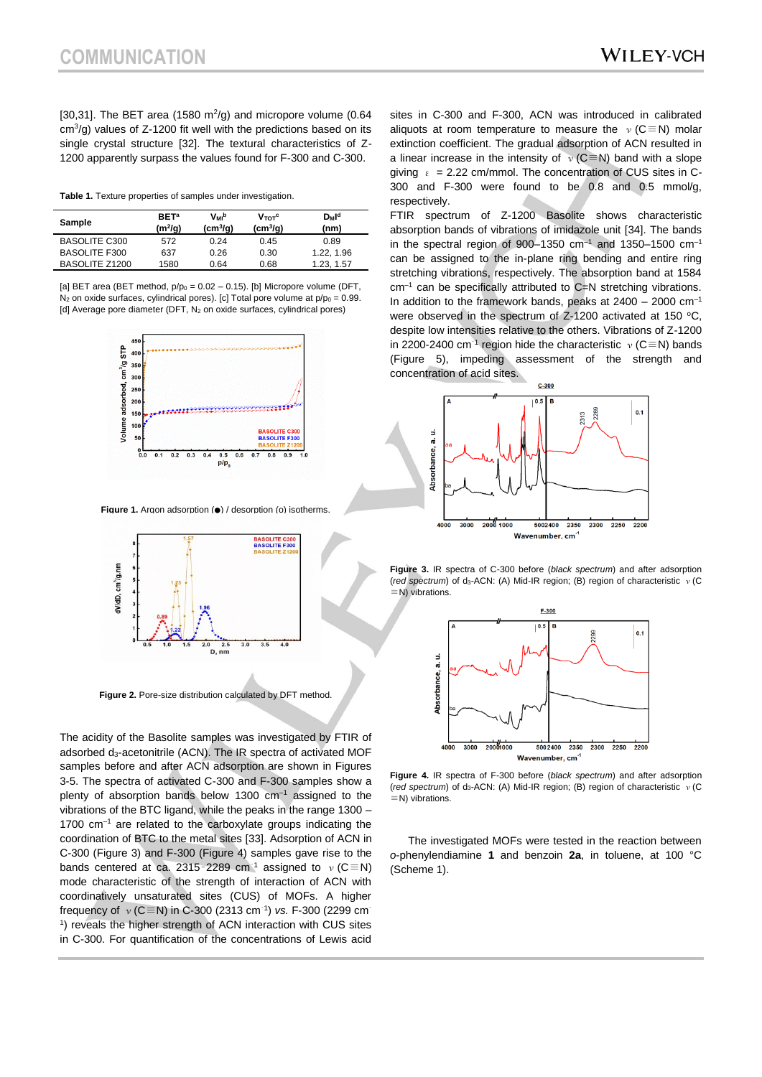[30,31]. The BET area (1580  $m^2/g$ ) and micropore volume (0.64  $\text{cm}^3/\text{g}$ ) values of Z-1200 fit well with the predictions based on its single crystal structure [32]. The textural characteristics of Z-1200 apparently surpass the values found for F-300 and C-300.

**Table 1.** Texture properties of samples under investigation.

| Sample               | <b>BET<sup>a</sup></b><br>(m²/g) | Vмь<br>$(cm^{3}/q)$ | $V_{\text{tot}}^{\text{c}}$<br>$(cm^{3}/q)$ | $D_M$ l <sup>d</sup><br>(nm) |
|----------------------|----------------------------------|---------------------|---------------------------------------------|------------------------------|
| <b>BASOLITE C300</b> | 572                              | 0.24                | 0.45                                        | 0.89                         |
| <b>BASOLITE F300</b> | 637                              | 0.26                | 0.30                                        | 1.22.1.96                    |
| BASOLITE Z1200       | 1580                             | 0.64                | 0.68                                        | 1.23.1.57                    |

[a] BET area (BET method,  $p/p_0 = 0.02 - 0.15$ ). [b] Micropore volume (DFT,  $N_2$  on oxide surfaces, cylindrical pores). [c] Total pore volume at  $p/p_0 = 0.99$ . [d] Average pore diameter (DFT,  $N_2$  on oxide surfaces, cylindrical pores)



**Figure 1.** Argon adsorption (●) / desorption (o) isotherms



**Figure 2.** Pore-size distribution calculated by DFT method.

The acidity of the Basolite samples was investigated by FTIR of adsorbed d<sub>3</sub>-acetonitrile (ACN). The IR spectra of activated MOF samples before and after ACN adsorption are shown in Figures 3-5. The spectra of activated C-300 and F-300 samples show a plenty of absorption bands below 1300  $cm^{-1}$  assigned to the vibrations of the BTC ligand, while the peaks in the range 1300 – 1700 cm<sup>-1</sup> are related to the carboxylate groups indicating the coordination of BTC to the metal sites [33]. Adsorption of ACN in C-300 (Figure 3) and F-300 (Figure 4) samples gave rise to the bands centered at ca. 2315-2289 cm<sup>-1</sup> assigned to  $v(C \equiv N)$ mode characteristic of the strength of interaction of ACN with coordinatively unsaturated sites (CUS) of MOFs. A higher frequency of ν (C≡N) in C-300 (2313 cm<sup>-1</sup>) *vs.* F-300 (2299 cm<sup>-</sup> <sup>1</sup>) reveals the higher strength of ACN interaction with CUS sites in C-300. For quantification of the concentrations of Lewis acid

sites in C-300 and F-300, ACN was introduced in calibrated aliquots at room temperature to measure the  $v(C \equiv N)$  molar extinction coefficient. The gradual adsorption of ACN resulted in a linear increase in the intensity of  $v(C \equiv N)$  band with a slope giving  $\epsilon$  = 2.22 cm/mmol. The concentration of CUS sites in C-300 and F-300 were found to be 0.8 and 0.5 mmol/g, respectively.

FTIR spectrum of Z-1200 Basolite shows characteristic absorption bands of vibrations of imidazole unit [34]. The bands in the spectral region of 900-1350  $cm^{-1}$  and 1350-1500  $cm^{-1}$ can be assigned to the in-plane ring bending and entire ring stretching vibrations, respectively. The absorption band at 1584  $cm^{-1}$  can be specifically attributed to C=N stretching vibrations. In addition to the framework bands, peaks at  $2400 - 2000$  cm<sup>-1</sup> were observed in the spectrum of Z-1200 activated at 150  $^{\circ}$ C, despite low intensities relative to the others. Vibrations of Z-1200 in 2200-2400 cm<sup>-1</sup> region hide the characteristic  $v$  (C≡N) bands (Figure 5), impeding assessment of the strength and concentration of acid sites.



**Figure 3.** IR spectra of C-300 before (*black spectrum*) and after adsorption (red spectrum) of d<sub>3</sub>-ACN: (A) Mid-IR region; (B) region of characteristic ν (C ≡N) vibrations.



**Figure 4.** IR spectra of F-300 before (*black spectrum*) and after adsorption (red spectrum) of d<sub>3</sub>-ACN: (A) Mid-IR region; (B) region of characteristic v (C ≡N) vibrations.

The investigated MOFs were tested in the reaction between *o*-phenylendiamine **1** and benzoin **2a**, in toluene, at 100 °C (Scheme 1).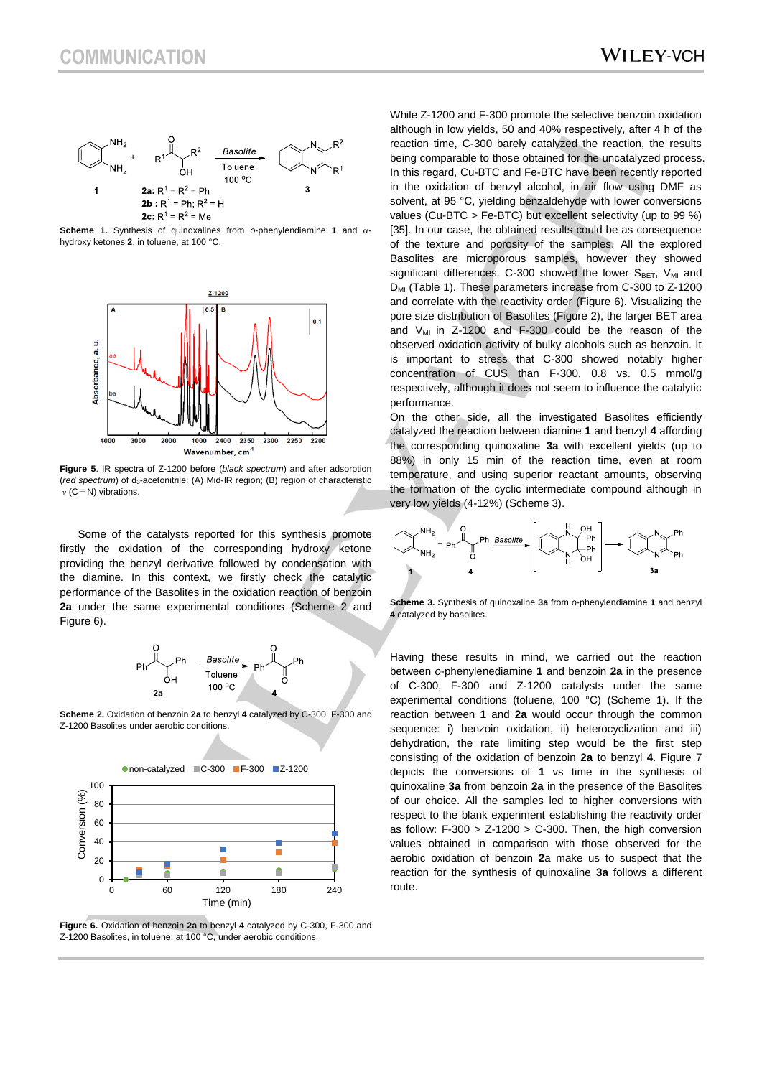

**Scheme 1.** Synthesis of quinoxalines from *o-phenylendiamine* 1 and  $\alpha$ hydroxy ketones **2**, in toluene, at 100 °C.



**Figure 5**. IR spectra of Z-1200 before (*black spectrum*) and after adsorption (*red spectrum*) of d3-acetonitrile: (A) Mid-IR region; (B) region of characteristic ν(C≡N) vibrations.

Some of the catalysts reported for this synthesis promote firstly the oxidation of the corresponding hydroxy ketone providing the benzyl derivative followed by condensation with the diamine. In this context, we firstly check the catalytic performance of the Basolites in the oxidation reaction of benzoin **2a** under the same experimental conditions (Scheme 2 and Figure 6).



**Scheme 2.** Oxidation of benzoin **2a** to benzyl **4** catalyzed by C-300, F-300 and Z-1200 Basolites under aerobic conditions.



**Figure 6.** Oxidation of benzoin **2a** to benzyl **4** catalyzed by C-300, F-300 and Z-1200 Basolites, in toluene, at 100 °C, under aerobic conditions.

While Z-1200 and F-300 promote the selective benzoin oxidation although in low yields, 50 and 40% respectively, after 4 h of the reaction time, C-300 barely catalyzed the reaction, the results being comparable to those obtained for the uncatalyzed process. In this regard, Cu-BTC and Fe-BTC have been recently reported in the oxidation of benzyl alcohol, in air flow using DMF as solvent, at 95 °C, yielding benzaldehyde with lower conversions values (Cu-BTC > Fe-BTC) but excellent selectivity (up to 99 %) [35]. In our case, the obtained results could be as consequence of the texture and porosity of the samples. All the explored Basolites are microporous samples, however they showed significant differences. C-300 showed the lower  $S<sub>BET</sub>$ , V<sub>MI</sub> and  $D_{ML}$  (Table 1). These parameters increase from C-300 to Z-1200 and correlate with the reactivity order (Figure 6). Visualizing the pore size distribution of Basolites (Figure 2), the larger BET area and  $V_{M1}$  in Z-1200 and F-300 could be the reason of the observed oxidation activity of bulky alcohols such as benzoin. It is important to stress that C-300 showed notably higher concentration of CUS than F-300, 0.8 vs. 0.5 mmol/g respectively, although it does not seem to influence the catalytic performance.

On the other side, all the investigated Basolites efficiently catalyzed the reaction between diamine **1** and benzyl **4** affording the corresponding quinoxaline **3a** with excellent yields (up to 88%) in only 15 min of the reaction time, even at room temperature, and using superior reactant amounts, observing the formation of the cyclic intermediate compound although in very low yields (4-12%) (Scheme 3).



**Scheme 3.** Synthesis of quinoxaline **3a** from *o*-phenylendiamine **1** and benzyl **4** catalyzed by basolites.

Having these results in mind, we carried out the reaction between *o*-phenylenediamine **1** and benzoin **2a** in the presence of C-300, F-300 and Z-1200 catalysts under the same experimental conditions (toluene, 100 °C) (Scheme 1). If the reaction between **1** and **2a** would occur through the common sequence: i) benzoin oxidation, ii) heterocyclization and iii) dehydration, the rate limiting step would be the first step consisting of the oxidation of benzoin **2a** to benzyl **4**. Figure 7 depicts the conversions of **1** vs time in the synthesis of quinoxaline **3a** from benzoin **2a** in the presence of the Basolites of our choice. All the samples led to higher conversions with respect to the blank experiment establishing the reactivity order as follow:  $F-300 > Z-1200 > C-300$ . Then, the high conversion values obtained in comparison with those observed for the aerobic oxidation of benzoin **2**a make us to suspect that the reaction for the synthesis of quinoxaline **3a** follows a different route.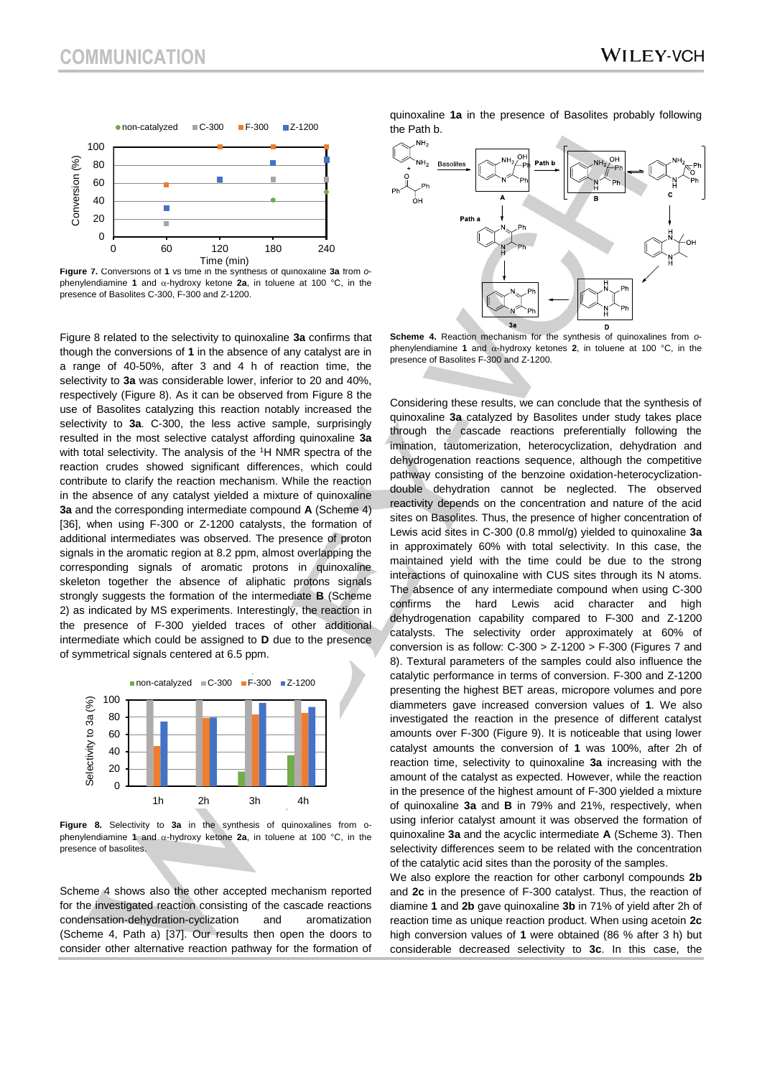

**Figure 7.** Conversions of **1** vs time in the synthesis of quinoxaline **3a** from *o*phenylendiamine 1 and  $\alpha$ -hydroxy ketone 2a, in toluene at 100 °C, in the presence of Basolites C-300, F-300 and Z-1200.

Figure 8 related to the selectivity to quinoxaline **3a** confirms that though the conversions of **1** in the absence of any catalyst are in a range of 40-50%, after 3 and 4 h of reaction time, the selectivity to **3a** was considerable lower, inferior to 20 and 40%, respectively (Figure 8). As it can be observed from Figure 8 the use of Basolites catalyzing this reaction notably increased the selectivity to **3a**. C-300, the less active sample, surprisingly resulted in the most selective catalyst affording quinoxaline **3a** with total selectivity. The analysis of the <sup>1</sup>H NMR spectra of the reaction crudes showed significant differences, which could contribute to clarify the reaction mechanism. While the reaction in the absence of any catalyst yielded a mixture of quinoxaline **3a** and the corresponding intermediate compound **A** (Scheme 4) [36], when using F-300 or Z-1200 catalysts, the formation of additional intermediates was observed. The presence of proton signals in the aromatic region at 8.2 ppm, almost overlapping the corresponding signals of aromatic protons in quinoxaline skeleton together the absence of aliphatic protons signals strongly suggests the formation of the intermediate **B** (Scheme 2) as indicated by MS experiments. Interestingly, the reaction in the presence of F-300 yielded traces of other additional intermediate which could be assigned to **D** due to the presence of symmetrical signals centered at 6.5 ppm.



**Figure 8.** Selectivity to **3a** in the synthesis of quinoxalines from ophenylendiamine **1** and  $\alpha$ -hydroxy ketone **2a**, in toluene at 100 °C, in the presence of basolites.

Scheme 4 shows also the other accepted mechanism reported for the investigated reaction consisting of the cascade reactions condensation-dehydration-cyclization and aromatization (Scheme 4, Path a) [37]. Our results then open the doors to consider other alternative reaction pathway for the formation of quinoxaline **1a** in the presence of Basolites probably following the Path b.



**Scheme 4.** Reaction mechanism for the synthesis of quinoxalines from *o*phenylendiamine **1** and  $\alpha$ -hydroxy ketones **2**, in toluene at 100 °C, in the presence of Basolites F-300 and Z-1200.

Considering these results, we can conclude that the synthesis of quinoxaline **3a** catalyzed by Basolites under study takes place through the cascade reactions preferentially following the imination, tautomerization, heterocyclization, dehydration and dehydrogenation reactions sequence, although the competitive pathway consisting of the benzoine oxidation-heterocyclizationdouble dehydration cannot be neglected. The observed reactivity depends on the concentration and nature of the acid sites on Basolites. Thus, the presence of higher concentration of Lewis acid sites in C-300 (0.8 mmol/g) yielded to quinoxaline **3a** in approximately 60% with total selectivity. In this case, the maintained yield with the time could be due to the strong interactions of quinoxaline with CUS sites through its N atoms. The absence of any intermediate compound when using C-300 confirms the hard Lewis acid character and high dehydrogenation capability compared to F-300 and Z-1200 catalysts. The selectivity order approximately at 60% of conversion is as follow:  $C-300 > Z-1200 > F-300$  (Figures 7 and 8). Textural parameters of the samples could also influence the catalytic performance in terms of conversion. F-300 and Z-1200 presenting the highest BET areas, micropore volumes and pore diammeters gave increased conversion values of **1**. We also investigated the reaction in the presence of different catalyst amounts over F-300 (Figure 9). It is noticeable that using lower catalyst amounts the conversion of **1** was 100%, after 2h of reaction time, selectivity to quinoxaline **3a** increasing with the amount of the catalyst as expected. However, while the reaction in the presence of the highest amount of F-300 yielded a mixture of quinoxaline **3a** and **B** in 79% and 21%, respectively, when using inferior catalyst amount it was observed the formation of quinoxaline **3a** and the acyclic intermediate **A** (Scheme 3). Then selectivity differences seem to be related with the concentration of the catalytic acid sites than the porosity of the samples.

We also explore the reaction for other carbonyl compounds **2b** and **2c** in the presence of F-300 catalyst. Thus, the reaction of diamine **1** and **2b** gave quinoxaline **3b** in 71% of yield after 2h of reaction time as unique reaction product. When using acetoin **2c** high conversion values of **1** were obtained (86 % after 3 h) but considerable decreased selectivity to **3c**. In this case, the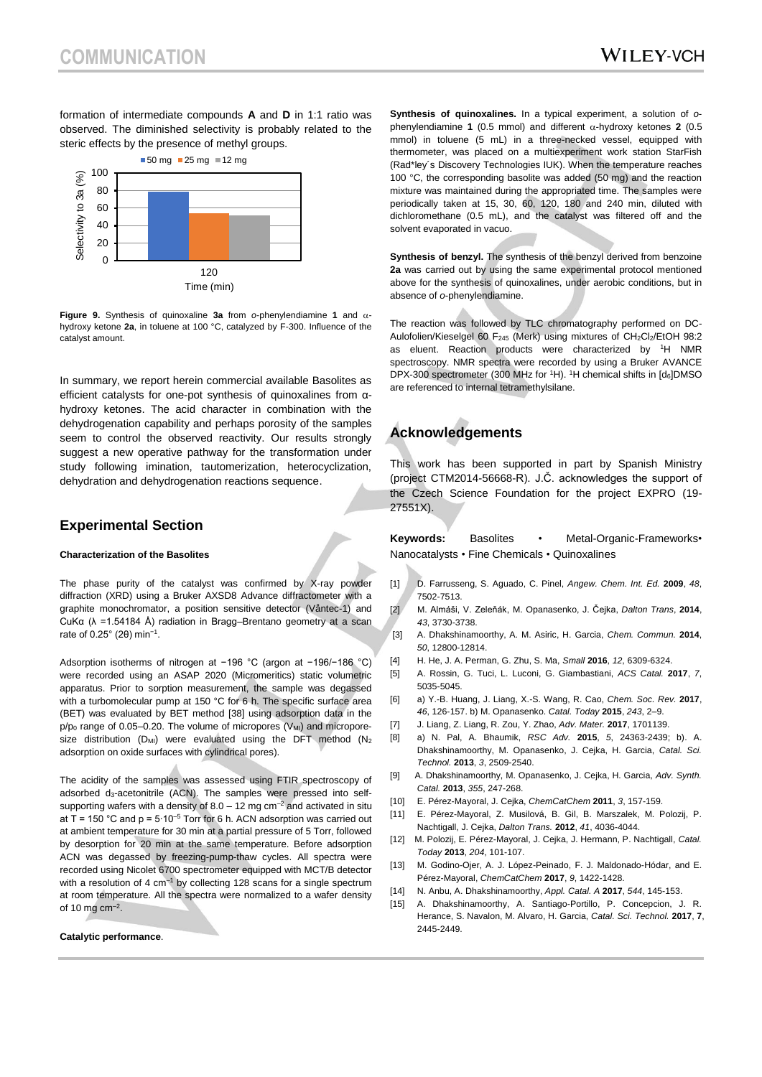formation of intermediate compounds **A** and **D** in 1:1 ratio was observed. The diminished selectivity is probably related to the steric effects by the presence of methyl groups.



**Figure 9.** Synthesis of quinoxaline  $3a$  from  $o$ -phenylendiamine 1 and  $\alpha$ hydroxy ketone **2a**, in toluene at 100 °C, catalyzed by F-300. Influence of the catalyst amount.

In summary, we report herein commercial available Basolites as efficient catalysts for one-pot synthesis of quinoxalines from αhydroxy ketones. The acid character in combination with the dehydrogenation capability and perhaps porosity of the samples seem to control the observed reactivity. Our results strongly suggest a new operative pathway for the transformation under study following imination, tautomerization, heterocyclization, dehydration and dehydrogenation reactions sequence.

### **Experimental Section**

#### **Characterization of the Basolites**

The phase purity of the catalyst was confirmed by X-ray powder diffraction (XRD) using a Bruker AXSD8 Advance diffractometer with a graphite monochromator, a position sensitive detector (Våntec-1) and CuKα (λ =1.54184 Å) radiation in Bragg–Brentano geometry at a scan rate of 0.25° (2θ) min−1 .

Adsorption isotherms of nitrogen at −196 °C (argon at −196/−186 °C) were recorded using an ASAP 2020 (Micromeritics) static volumetric apparatus. Prior to sorption measurement, the sample was degassed with a turbomolecular pump at 150 °C for 6 h. The specific surface area (BET) was evaluated by BET method [38] using adsorption data in the  $p/p_0$  range of 0.05–0.20. The volume of micropores (V<sub>MI</sub>) and microporesize distribution (D<sub>MI</sub>) were evaluated using the DFT method (N<sub>2</sub> adsorption on oxide surfaces with cylindrical pores).

The acidity of the samples was assessed using FTIR spectroscopy of adsorbed d<sub>3</sub>-acetonitrile (ACN). The samples were pressed into selfsupporting wafers with a density of  $8.0 - 12$  mg cm<sup>-2</sup> and activated in situ at T = 150 °C and p =  $5·10<sup>-5</sup>$  Torr for 6 h. ACN adsorption was carried out at ambient temperature for 30 min at a partial pressure of 5 Torr, followed by desorption for 20 min at the same temperature. Before adsorption ACN was degassed by freezing-pump-thaw cycles. All spectra were recorded using Nicolet 6700 spectrometer equipped with MCT/B detector with a resolution of 4 cm<sup>-1</sup> by collecting 128 scans for a single spectrum at room temperature. All the spectra were normalized to a wafer density of 10 mg cm $^{-2}$ .

#### **Catalytic performance**.

**Synthesis of quinoxalines.** In a typical experiment, a solution of *o*phenylendiamine **1** (0.5 mmol) and different  $\alpha$ -hydroxy ketones **2** (0.5 mmol) in toluene (5 mL) in a three-necked vessel, equipped with thermometer, was placed on a multiexperiment work station StarFish (Rad\*ley´s Discovery Technologies IUK). When the temperature reaches 100 °C, the corresponding basolite was added (50 mg) and the reaction mixture was maintained during the appropriated time. The samples were periodically taken at 15, 30, 60, 120, 180 and 240 min, diluted with dichloromethane (0.5 mL), and the catalyst was filtered off and the solvent evaporated in vacuo.

**Synthesis of benzyl.** The synthesis of the benzyl derived from benzoine **2a** was carried out by using the same experimental protocol mentioned above for the synthesis of quinoxalines, under aerobic conditions, but in absence of *o*-phenylendiamine.

The reaction was followed by TLC chromatography performed on DC-Aulofolien/Kieselgel 60 F<sub>245</sub> (Merk) using mixtures of CH<sub>2</sub>Cl<sub>2</sub>/EtOH 98:2 as eluent. Reaction products were characterized by <sup>1</sup>H NMR spectroscopy. NMR spectra were recorded by using a Bruker AVANCE DPX-300 spectrometer (300 MHz for <sup>1</sup>H). <sup>1</sup>H chemical shifts in [d<sub>6</sub>]DMSO are referenced to internal tetramethylsilane.

### **Acknowledgements**

This work has been supported in part by Spanish Ministry (project CTM2014-56668-R). J.Č. acknowledges the support of the Czech Science Foundation for the project EXPRO (19- 27551X).

**Keywords:** Basolites • Metal-Organic-Frameworks• Nanocatalysts • Fine Chemicals • Quinoxalines

- [1] D. Farrusseng, S. Aguado, C. Pinel, *Angew. Chem. Int. Ed.* **2009**, *48*, 7502-7513.
- [2] M. Almáši, V. Zeleňák, M. Opanasenko, J. Čejka, *Dalton Trans*, **2014**, *43*, 3730-3738.
- [3] A. Dhakshinamoorthy, A. M. Asiric, H. Garcia, *Chem. Commun.* **2014**, *50*, 12800-12814.
- [4] H. He, J. A. Perman, G. Zhu, S. Ma, *Small* **2016**, *12*, 6309-6324.
- [5] A. Rossin, G. Tuci, L. Luconi, G. Giambastiani, *ACS Catal.* **2017**, *7*, 5035-5045.
- [6] a) Y.-B. Huang, J. Liang, X.-S. Wang, R. Cao, *Chem. Soc. Rev.* **2017**, *46*, 126-157. b) M. Opanasenko. *Catal. Today* **2015**, *243*, 2–9.
- [7] J. Liang, Z. Liang, R. Zou, Y. Zhao, *Adv. Mater.* **2017**, 1701139.
- [8] a) N. Pal, A. Bhaumik, *RSC Adv.* **2015**, *5*, 24363-2439; b). A. Dhakshinamoorthy, M. Opanasenko, J. Cejka, H. Garcia, *Catal. Sci. Technol.* **2013**, *3*, 2509-2540.
- [9] A. Dhakshinamoorthy, M. Opanasenko, J. Cejka, H. Garcia, *Adv. Synth. Catal.* **2013**, *355*, 247-268.
- [10] E. Pérez-Mayoral, J. Cejka, *ChemCatChem* **2011**, *3*, 157-159.
- [11] E. Pérez-Mayoral, Z. Musilová, B. Gil, B. Marszalek, M. Polozij, P. Nachtigall, J. Cejka, *Dalton Trans.* **2012**, *41*, 4036-4044.
- [12] M. Polozij, E. Pérez-Mayoral, J. Cejka, J. Hermann, P. Nachtigall, *Catal. Today* **2013**, *204*, 101-107.
- [13] M. Godino-Ojer, A. J. López-Peinado, F. J. Maldonado-Hódar, and E. Pérez-Mayoral, *ChemCatChem* **2017**, *9*, 1422-1428.
- [14] N. Anbu, A. Dhakshinamoorthy, *Appl. Catal. A* **2017**, *544*, 145-153.
- [15] A. Dhakshinamoorthy, A. Santiago-Portillo, P. Concepcion, J. R. Herance, S. Navalon, M. Alvaro, H. Garcia, *Catal. Sci. Technol.* **2017**, **7**, 2445-2449.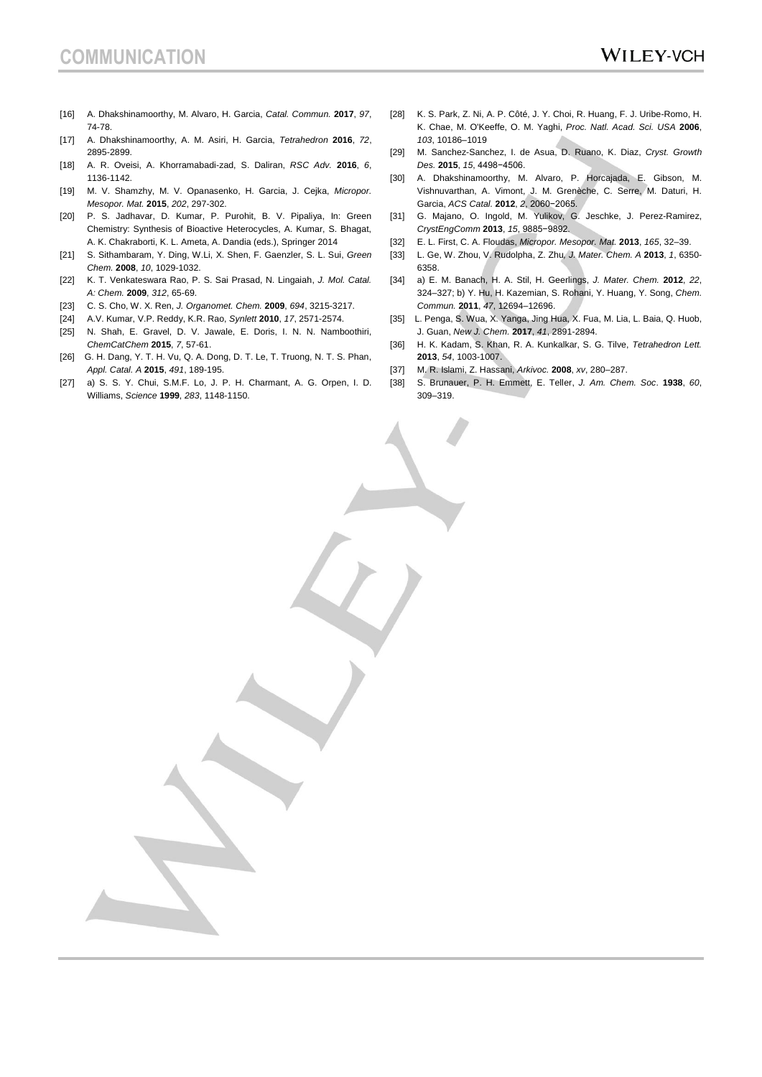- [16] A. Dhakshinamoorthy, M. Alvaro, H. Garcia, *Catal. Commun.* **2017**, *97*, 74-78.
- [17] A. Dhakshinamoorthy, A. M. Asiri, H. Garcia, *Tetrahedron* **2016**, *72*, 2895-2899.
- [18] A. R. Oveisi, A. Khorramabadi-zad, S. Daliran, *RSC Adv.* **2016**, *6*, 1136-1142.
- [19] M. V. Shamzhy, M. V. Opanasenko, H. Garcia, J. Cejka, *Micropor. Mesopor. Mat.* **2015**, *202*, 297-302.
- [20] P. S. Jadhavar, D. Kumar, P. Purohit, B. V. Pipaliya, In: Green Chemistry: Synthesis of Bioactive Heterocycles, A. Kumar, S. Bhagat, A. K. Chakraborti, K. L. Ameta, A. Dandia (eds.), Springer 2014
- [21] S. Sithambaram, Y. Ding, W.Li, X. Shen, F. Gaenzler, S. L. Sui, *Green Chem.* **2008**, *10*, 1029-1032.
- [22] K. T. Venkateswara Rao, P. S. Sai Prasad, N. Lingaiah, *J. Mol. Catal. A: Chem.* **2009**, *312*, 65-69.
- [23] C. S. Cho, W. X. Ren, *J. Organomet. Chem.* **2009**, *694*, 3215-3217.
- [24] A.V. Kumar, V.P. Reddy, K.R. Rao, *Synlett* **2010**, *17*, 2571-2574.
- [25] N. Shah, E. Gravel, D. V. Jawale, E. Doris, I. N. N. Namboothiri, *ChemCatChem* **2015**, *7*, 57-61.
- [26] G. H. Dang, Y. T. H. Vu, Q. A. Dong, D. T. Le, T. Truong, N. T. S. Phan, *Appl. Catal. A* **2015**, *491*, 189-195.
- [27] a) S. S. Y. Chui, S.M.F. Lo, J. P. H. Charmant, A. G. Orpen, I. D. Williams, *Science* **1999**, *283*, 1148-1150.
- [28] K. S. Park, Z. Ni, A. P. Côté, J. Y. Choi, R. Huang, F. J. Uribe-Romo, H. K. Chae, M. O'Keeffe, O. M. Yaghi, *Proc. Natl. Acad. Sci. USA* **2006**, *103*, 10186–1019
- [29] M. Sanchez-Sanchez, I. de Asua, D. Ruano, K. Diaz, *Cryst. Growth Des.* **2015**, *15*, 4498−4506.
- [30] A. Dhakshinamoorthy, M. Alvaro, P. Horcajada, E. Gibson, M. Vishnuvarthan, A. Vimont, J. M. Grenèche, C. Serre, M. Daturi, H. Garcia, *ACS Catal.* **2012**, *2*, 2060−2065.
- [31] G. Majano, O. Ingold, M. Yulikov, G. Jeschke, J. Perez-Ramirez, *CrystEngComm* **2013**, *15*, 9885−9892.
- [32] E. L. First, C. A. Floudas, *Micropor. Mesopor. Mat.* **2013**, *165*, 32–39.
- [33] L. Ge, W. Zhou, V. Rudolpha, Z. Zhu*, J. Mater. Chem. A* **2013**, *1*, 6350- 6358.
- [34] a) E. M. Banach, H. A. Stil, H. Geerlings, *J. Mater. Chem.* **2012**, *22*, 324–327; b) Y. Hu, H. Kazemian, S. Rohani, Y. Huang, Y. Song, *Chem. Commun.* **2011**, *47*, 12694–12696.
- [35] L. Penga, S. Wua, X. Yanga, Jing Hua, X. Fua, M. Lia, L. Baia, Q. Huob, J. Guan, *New J. Chem.* **2017**, *41*, 2891-2894.
- [36] H. K. Kadam, S. Khan, R. A. Kunkalkar, S. G. Tilve, *Tetrahedron Lett.* **2013**, *54*, 1003-1007.
- [37] M. R. Islami, Z. Hassani, *Arkivoc.* **2008**, *xv*, 280–287.
- [38] S. Brunauer, P. H. Emmett, E. Teller, *J. Am. Chem. Soc*. **1938**, *60*, 309–319.